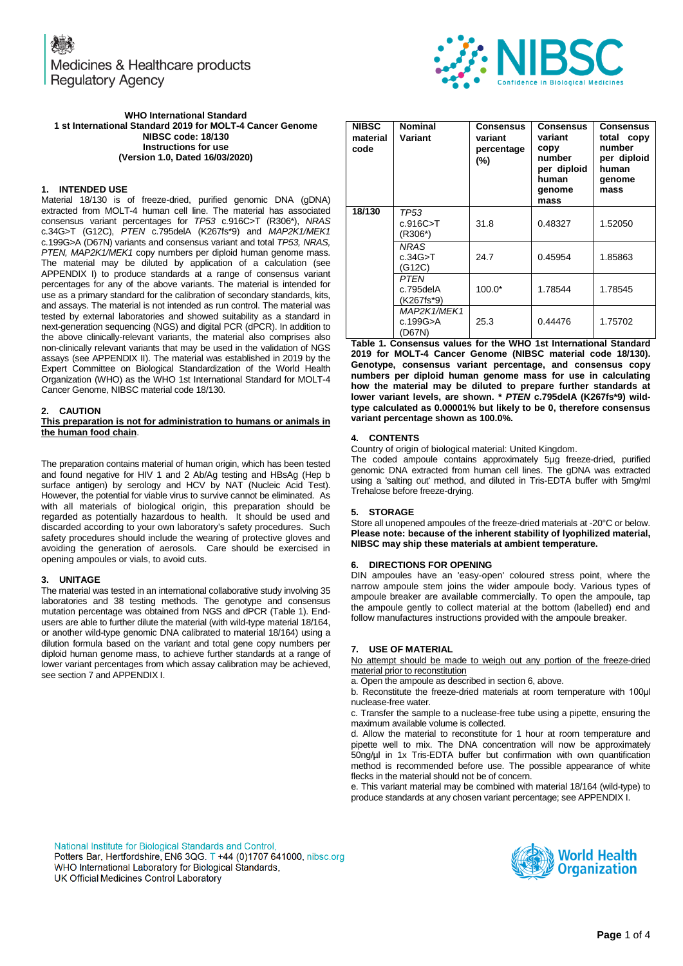Medicines & Healthcare products **Regulatory Agency** 



#### **WHO International Standard 1 st International Standard 2019 for MOLT-4 Cancer Genome NIBSC code: 18/130 Instructions for use (Version 1.0, Dated 16/03/2020)**

#### **1. INTENDED USE**

Material 18/130 is of freeze-dried, purified genomic DNA (gDNA) extracted from MOLT-4 human cell line. The material has associated consensus variant percentages for *TP53* c.916C>T (R306\*), *NRAS* c.34G>T (G12C), *PTEN* c.795delA (K267fs\*9) and *MAP2K1/MEK1* c.199G>A (D67N) variants and consensus variant and total *TP53, NRAS, PTEN, MAP2K1/MEK1* copy numbers per diploid human genome mass. The material may be diluted by application of a calculation (see APPENDIX I) to produce standards at a range of consensus variant percentages for any of the above variants. The material is intended for use as a primary standard for the calibration of secondary standards, kits, and assays. The material is not intended as run control. The material was tested by external laboratories and showed suitability as a standard in next-generation sequencing (NGS) and digital PCR (dPCR). In addition to the above clinically-relevant variants, the material also comprises also non-clinically relevant variants that may be used in the validation of NGS assays (see APPENDIX II). The material was established in 2019 by the Expert Committee on Biological Standardization of the World Health Organization (WHO) as the WHO 1st International Standard for MOLT-4 Cancer Genome, NIBSC material code 18/130.

#### **2. CAUTION**

#### **This preparation is not for administration to humans or animals in the human food chain**.

The preparation contains material of human origin, which has been tested and found negative for HIV 1 and 2 Ab/Ag testing and HBsAg (Hep b surface antigen) by serology and HCV by NAT (Nucleic Acid Test). However, the potential for viable virus to survive cannot be eliminated. As with all materials of biological origin, this preparation should be regarded as potentially hazardous to health. It should be used and discarded according to your own laboratory's safety procedures. Such safety procedures should include the wearing of protective gloves and avoiding the generation of aerosols. Care should be exercised in opening ampoules or vials, to avoid cuts.

#### **3. UNITAGE**

The material was tested in an international collaborative study involving 35 laboratories and 38 testing methods. The genotype and consensus mutation percentage was obtained from NGS and dPCR (Table 1). Endusers are able to further dilute the material (with wild-type material 18/164, or another wild-type genomic DNA calibrated to material 18/164) using a dilution formula based on the variant and total gene copy numbers per diploid human genome mass, to achieve further standards at a range of lower variant percentages from which assay calibration may be achieved, see section 7 and APPENDIX I.

| <b>NIBSC</b><br>material<br>code | <b>Nominal</b><br>Variant          | Consensus<br>variant<br>percentage<br>(%) | Consensus<br>variant<br>copy<br>number<br>per diploid<br>human<br>genome<br>mass | <b>Consensus</b><br>total copy<br>number<br>per diploid<br>human<br>genome<br>mass |
|----------------------------------|------------------------------------|-------------------------------------------|----------------------------------------------------------------------------------|------------------------------------------------------------------------------------|
| 18/130                           | TP53<br>c.916C > T<br>(R306*)      | 31.8                                      | 0.48327                                                                          | 1.52050                                                                            |
|                                  | <b>NRAS</b><br>c.34G > T<br>(G12C) | 24.7                                      | 0.45954                                                                          | 1.85863                                                                            |
|                                  | PTEN<br>c.795delA<br>(K267fs*9)    | $100.0*$                                  | 1.78544                                                                          | 1.78545                                                                            |
|                                  | MAP2K1/MEK1<br>c.199G>A<br>(D67N)  | 25.3                                      | 0.44476                                                                          | 1.75702                                                                            |

**Table 1. Consensus values for the WHO 1st International Standard 2019 for MOLT-4 Cancer Genome (NIBSC material code 18/130). Genotype, consensus variant percentage, and consensus copy numbers per diploid human genome mass for use in calculating how the material may be diluted to prepare further standards at lower variant levels, are shown. \*** *PTEN* **c.795delA (K267fs\*9) wildtype calculated as 0.00001% but likely to be 0, therefore consensus variant percentage shown as 100.0%.**

#### **4. CONTENTS**

Country of origin of biological material: United Kingdom.

The coded ampoule contains approximately 5µg freeze-dried, purified genomic DNA extracted from human cell lines. The gDNA was extracted using a 'salting out' method, and diluted in Tris-EDTA buffer with 5mg/ml Trehalose before freeze-drying.

#### **5. STORAGE**

Store all unopened ampoules of the freeze-dried materials at -20°C or below. **Please note: because of the inherent stability of lyophilized material, NIBSC may ship these materials at ambient temperature.**

#### **6. DIRECTIONS FOR OPENING**

DIN ampoules have an 'easy-open' coloured stress point, where the narrow ampoule stem joins the wider ampoule body. Various types of ampoule breaker are available commercially. To open the ampoule, tap the ampoule gently to collect material at the bottom (labelled) end and follow manufactures instructions provided with the ampoule breaker.

#### **7. USE OF MATERIAL**

No attempt should be made to weigh out any portion of the freeze-dried material prior to reconstitution

a. Open the ampoule as described in section 6, above.

b. Reconstitute the freeze-dried materials at room temperature with 100μl nuclease-free water.

c. Transfer the sample to a nuclease-free tube using a pipette, ensuring the maximum available volume is collected.

d. Allow the material to reconstitute for 1 hour at room temperature and pipette well to mix. The DNA concentration will now be approximately 50ng/µl in 1x Tris-EDTA buffer but confirmation with own quantification method is recommended before use. The possible appearance of white flecks in the material should not be of concern.

e. This variant material may be combined with material 18/164 (wild-type) to produce standards at any chosen variant percentage; see APPENDIX I.

National Institute for Biological Standards and Control, Potters Bar, Hertfordshire, EN6 3QG. T +44 (0)1707 641000, nibsc.org WHO International Laboratory for Biological Standards, UK Official Medicines Control Laboratory

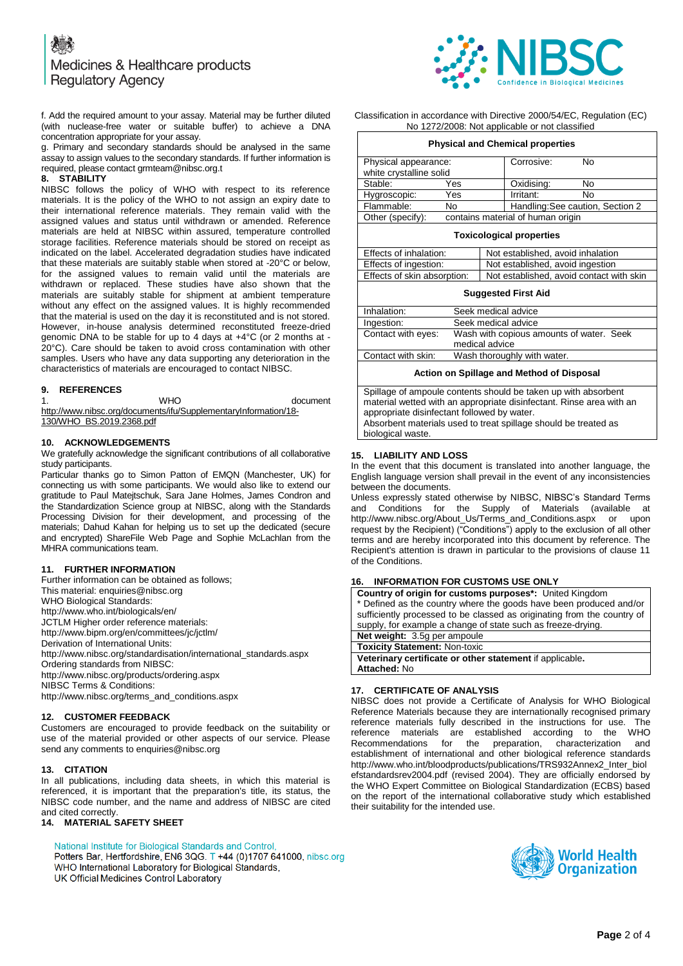

f. Add the required amount to your assay. Material may be further diluted (with nuclease-free water or suitable buffer) to achieve a DNA concentration appropriate for your assay.

g. Primary and secondary standards should be analysed in the same assay to assign values to the secondary standards. If further information is required, please contact grmteam@nibsc.org.t

#### **8. STABILITY**

NIBSC follows the policy of WHO with respect to its reference materials. It is the policy of the WHO to not assign an expiry date to their international reference materials. They remain valid with the assigned values and status until withdrawn or amended. Reference materials are held at NIBSC within assured, temperature controlled storage facilities. Reference materials should be stored on receipt as indicated on the label. Accelerated degradation studies have indicated that these materials are suitably stable when stored at -20°C or below, for the assigned values to remain valid until the materials are withdrawn or replaced. These studies have also shown that the materials are suitably stable for shipment at ambient temperature without any effect on the assigned values. It is highly recommended that the material is used on the day it is reconstituted and is not stored. However, in-house analysis determined reconstituted freeze-dried genomic DNA to be stable for up to 4 days at +4°C (or 2 months at - 20°C). Care should be taken to avoid cross contamination with other samples. Users who have any data supporting any deterioration in the characteristics of materials are encouraged to contact NIBSC.

# **9. REFERENCES**

1. WHO document

[http://www.nibsc.org/documents/ifu/SupplementaryInformation/18-](http://www.nibsc.org/documents/ifu/SupplementaryInformation/18-130/WHO_BS.2019.2368.pdf) [130/WHO\\_BS.2019.2368.pdf](http://www.nibsc.org/documents/ifu/SupplementaryInformation/18-130/WHO_BS.2019.2368.pdf)

#### **10. ACKNOWLEDGEMENTS**

We gratefully acknowledge the significant contributions of all collaborative study participants.

Particular thanks go to Simon Patton of EMQN (Manchester, UK) for connecting us with some participants. We would also like to extend our gratitude to Paul Matejtschuk, Sara Jane Holmes, James Condron and the Standardization Science group at NIBSC, along with the Standards Processing Division for their development, and processing of the materials; Dahud Kahan for helping us to set up the dedicated (secure and encrypted) ShareFile Web Page and Sophie McLachlan from the MHRA communications team.

# **11. FURTHER INFORMATION**

Further information can be obtained as follows; This material[: enquiries@nibsc.org](mailto:enquiries@nibsc.org) WHO Biological Standards: <http://www.who.int/biologicals/en/> JCTLM Higher order reference materials: <http://www.bipm.org/en/committees/jc/jctlm/> Derivation of International Units: [http://www.nibsc.org/standardisation/international\\_standards.aspx](http://www.nibsc.org/standardisation/international_standards.aspx) Ordering standards from NIBSC: <http://www.nibsc.org/products/ordering.aspx> NIBSC Terms & Conditions: [http://www.nibsc.org/terms\\_and\\_conditions.aspx](http://www.nibsc.ac.uk/terms_and_conditions.aspx)

#### **12. CUSTOMER FEEDBACK**

Customers are encouraged to provide feedback on the suitability or use of the material provided or other aspects of our service. Please send any comments t[o enquiries@nibsc.org](mailto:enquiries@nibsc.org)

#### **13. CITATION**

In all publications, including data sheets, in which this material is referenced, it is important that the preparation's title, its status, the NIBSC code number, and the name and address of NIBSC are cited and cited correctly.

# **14. MATERIAL SAFETY SHEET**

National Institute for Biological Standards and Control,

Potters Bar, Hertfordshire, EN6 3QG. T +44 (0)1707 641000, nibsc.org WHO International Laboratory for Biological Standards,

UK Official Medicines Control Laboratory

#### Classification in accordance with Directive 2000/54/EC, Regulation (EC) No 1272/2008: Not applicable or not classified

| <b>Physical and Chemical properties</b>         |                                   |                                  |    |  |
|-------------------------------------------------|-----------------------------------|----------------------------------|----|--|
| Physical appearance:<br>white crystalline solid |                                   | Corrosive:                       | No |  |
| Stable:                                         | Yes                               | Oxidising:                       | No |  |
| Hygroscopic:                                    | Yes                               | Irritant:                        | No |  |
| Flammable:                                      | No                                | Handling: See caution, Section 2 |    |  |
| Other (specify):                                | contains material of human origin |                                  |    |  |

#### **Toxicological properties**

| Effects of inhalation: |                             | Not established, avoid inhalation        |  |  |  |
|------------------------|-----------------------------|------------------------------------------|--|--|--|
|                        | Effects of ingestion:       | Not established, avoid ingestion         |  |  |  |
|                        | Effects of skin absorption: | Not established, avoid contact with skin |  |  |  |
|                        |                             |                                          |  |  |  |

### **Suggested First Aid**

| Inhalation:        | Seek medical advice                                        |
|--------------------|------------------------------------------------------------|
| Ingestion:         | Seek medical advice                                        |
| Contact with eyes: | Wash with copious amounts of water. Seek<br>medical advice |
| Contact with skin: | Wash thoroughly with water.                                |

**Action on Spillage and Method of Disposal**

Spillage of ampoule contents should be taken up with absorbent material wetted with an appropriate disinfectant. Rinse area with an appropriate disinfectant followed by water. Absorbent materials used to treat spillage should be treated as biological waste.

# **15. LIABILITY AND LOSS**

In the event that this document is translated into another language, the English language version shall prevail in the event of any inconsistencies between the documents.

Unless expressly stated otherwise by NIBSC, NIBSC's Standard Terms and Conditions for the Supply of Materials (available at [http://www.nibsc.org/About\\_Us/Terms\\_and\\_Conditions.aspx](http://www.nibsc.org/About_Us/Terms_and_Conditions.aspx) or upon request by the Recipient) ("Conditions") apply to the exclusion of all other terms and are hereby incorporated into this document by reference. The Recipient's attention is drawn in particular to the provisions of clause 11 of the Conditions.

# **16. INFORMATION FOR CUSTOMS USE ONLY**

| <b>Country of origin for customs purposes*:</b> United Kingdom          |  |  |  |
|-------------------------------------------------------------------------|--|--|--|
| * Defined as the country where the goods have been produced and/or      |  |  |  |
| sufficiently processed to be classed as originating from the country of |  |  |  |
| supply, for example a change of state such as freeze-drying.            |  |  |  |
| Net weight: 3.5g per ampoule                                            |  |  |  |
| <b>Toxicity Statement: Non-toxic</b>                                    |  |  |  |
| Veterinary certificate or other statement if applicable.                |  |  |  |
| <b>Attached: No</b>                                                     |  |  |  |

# **17. CERTIFICATE OF ANALYSIS**

NIBSC does not provide a Certificate of Analysis for WHO Biological Reference Materials because they are internationally recognised primary reference materials fully described in the instructions for use. The reference materials are established according to the WHO Recommendations for the preparation, characterization and establishment of international and other biological reference standards [http://www.who.int/bloodproducts/publications/TRS932Annex2\\_Inter\\_biol](http://www.who.int/bloodproducts/publications/TRS932Annex2_Inter_biolefstandardsrev2004.pdf) [efstandardsrev2004.pdf](http://www.who.int/bloodproducts/publications/TRS932Annex2_Inter_biolefstandardsrev2004.pdf) (revised 2004). They are officially endorsed by the WHO Expert Committee on Biological Standardization (ECBS) based on the report of the international collaborative study which established their suitability for the intended use.

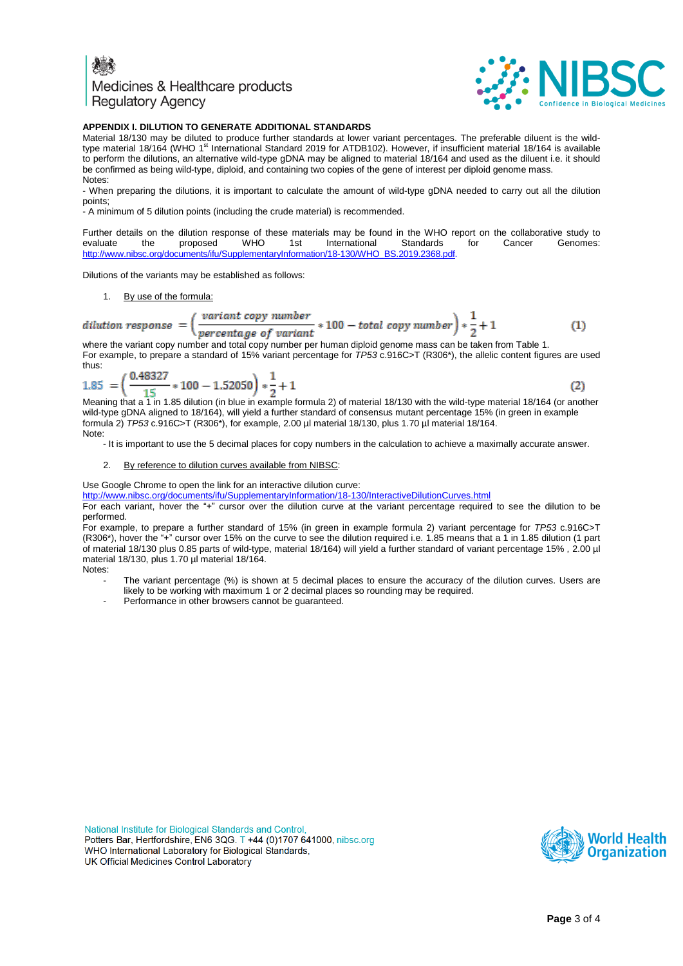# Medicines & Healthcare products **Regulatory Agency**



### **APPENDIX I. DILUTION TO GENERATE ADDITIONAL STANDARDS**

Material 18/130 may be diluted to produce further standards at lower variant percentages. The preferable diluent is the wildtype material 18/164 (WHO 1<sup>st</sup> International Standard 2019 for ATDB102). However, if insufficient material 18/164 is available to perform the dilutions, an alternative wild-type gDNA may be aligned to material 18/164 and used as the diluent i.e. it should be confirmed as being wild-type, diploid, and containing two copies of the gene of interest per diploid genome mass. Notes:

- When preparing the dilutions, it is important to calculate the amount of wild-type gDNA needed to carry out all the dilution points;

- A minimum of 5 dilution points (including the crude material) is recommended.

Further details on the dilution response of these materials may be found in the WHO report on the collaborative study to evaluate the proposed WHO 1st International Standards for Cancer Genomes: evaluate the proposed WHO 1st International Standards for Cancer Genomes: http://www.nibsc.org/documents/ifu/SupplementaryInformation/18-130/WHO\_BS.2019.2368.pdf

Dilutions of the variants may be established as follows:

1. By use of the formula:

*dilution response* = 
$$
\left(\frac{variant copy number}{percentage of variant} * 100 - total copy number\right) * \frac{1}{2} + 1
$$
 (1)

where the variant copy number and total copy number per human diploid genome mass can be taken from Table 1. For example, to prepare a standard of 15% variant percentage for *TP53* c.916C>T (R306\*), the allelic content figures are used thus:

$$
1.85 = \left(\frac{0.48327}{15} * 100 - 1.52050\right) * \frac{1}{2} + 1\tag{2}
$$

Meaning that a 1 in 1.85 dilution (in blue in example formula 2) of material 18/130 with the wild-type material 18/164 (or another wild-type gDNA aligned to 18/164), will yield a further standard of consensus mutant percentage 15% (in green in example formula 2) *TP53* c.916C>T (R306\*), for example, 2.00 µl material 18/130, plus 1.70 µl material 18/164. Note:

- It is important to use the 5 decimal places for copy numbers in the calculation to achieve a maximally accurate answer.

2. By reference to dilution curves available from NIBSC:

Use Google Chrome to open the link for an interactive dilution curve:

<http://www.nibsc.org/documents/ifu/SupplementaryInformation/18-130/InteractiveDilutionCurves.html>

For each variant, hover the "+" cursor over the dilution curve at the variant percentage required to see the dilution to be performed.

For example, to prepare a further standard of 15% (in green in example formula 2) variant percentage for *TP53* c.916C>T (R306\*), hover the "+" cursor over 15% on the curve to see the dilution required i.e. 1.85 means that a 1 in 1.85 dilution (1 part of material 18/130 plus 0.85 parts of wild-type, material 18/164) will yield a further standard of variant percentage 15% *,* 2.00 µl material 18/130, plus 1.70 µl material 18/164.

- Notes:
	- The variant percentage (%) is shown at 5 decimal places to ensure the accuracy of the dilution curves. Users are likely to be working with maximum 1 or 2 decimal places so rounding may be required.
	- Performance in other browsers cannot be quaranteed.